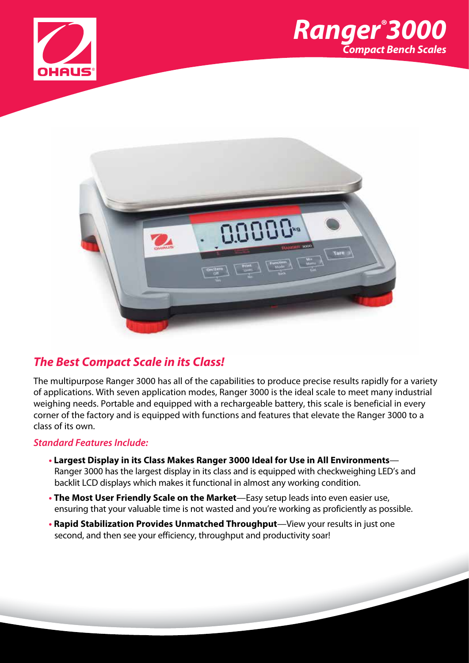





# *The Best Compact Scale in its Class!*

The multipurpose Ranger 3000 has all of the capabilities to produce precise results rapidly for a variety of applications. With seven application modes, Ranger 3000 is the ideal scale to meet many industrial weighing needs. Portable and equipped with a rechargeable battery, this scale is beneficial in every corner of the factory and is equipped with functions and features that elevate the Ranger 3000 to a class of its own.

### *Standard Features Include:*

- **Largest Display in its Class Makes Ranger 3000 Ideal for Use in All Environments** Ranger 3000 has the largest display in its class and is equipped with checkweighing LED's and backlit LCD displays which makes it functional in almost any working condition.
- **The Most User Friendly Scale on the Market**—Easy setup leads into even easier use, ensuring that your valuable time is not wasted and you're working as proficiently as possible.
- **Rapid Stabilization Provides Unmatched Throughput**—View your results in just one second, and then see your efficiency, throughput and productivity soar!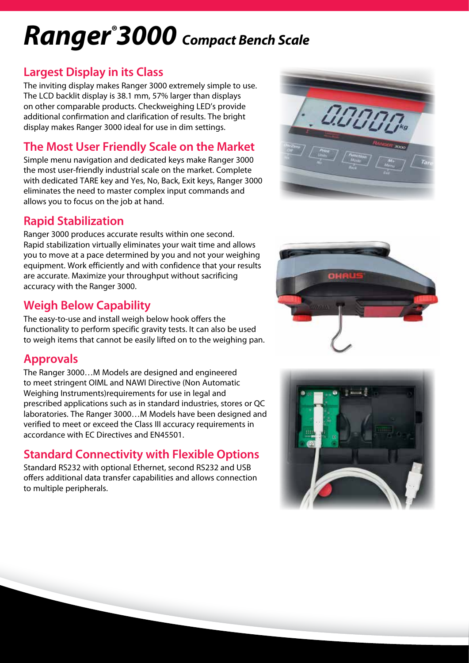# *Ranger® 3000 Compact Bench Scale*

## **Largest Display in its Class**

The inviting display makes Ranger 3000 extremely simple to use. The LCD backlit display is 38.1 mm, 57% larger than displays on other comparable products. Checkweighing LED's provide additional confirmation and clarification of results. The bright display makes Ranger 3000 ideal for use in dim settings.

# **The Most User Friendly Scale on the Market**

Simple menu navigation and dedicated keys make Ranger 3000 the most user-friendly industrial scale on the market. Complete with dedicated TARE key and Yes, No, Back, Exit keys, Ranger 3000 eliminates the need to master complex input commands and allows you to focus on the job at hand.

# **Rapid Stabilization**

Ranger 3000 produces accurate results within one second. Rapid stabilization virtually eliminates your wait time and allows you to move at a pace determined by you and not your weighing equipment. Work efficiently and with confidence that your results are accurate. Maximize your throughput without sacrificing accuracy with the Ranger 3000.

# **Weigh Below Capability**

The easy-to-use and install weigh below hook offers the functionality to perform specific gravity tests. It can also be used to weigh items that cannot be easily lifted on to the weighing pan.

# **Approvals**

The Ranger 3000…M Models are designed and engineered to meet stringent OIML and NAWI Directive (Non Automatic Weighing Instruments)requirements for use in legal and prescribed applications such as in standard industries, stores or QC laboratories. The Ranger 3000…M Models have been designed and verified to meet or exceed the Class III accuracy requirements in accordance with EC Directives and EN45501.

# **Standard Connectivity with Flexible Options**

Standard RS232 with optional Ethernet, second RS232 and USB offers additional data transfer capabilities and allows connection to multiple peripherals.





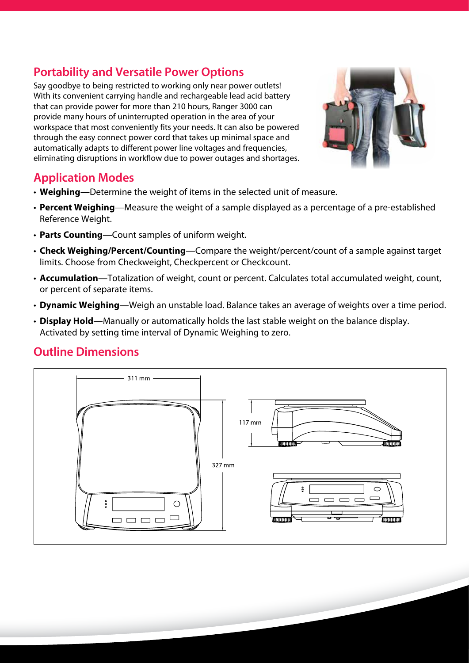# **Portability and Versatile Power Options**

Say goodbye to being restricted to working only near power outlets! With its convenient carrying handle and rechargeable lead acid battery that can provide power for more than 210 hours, Ranger 3000 can provide many hours of uninterrupted operation in the area of your workspace that most conveniently fits your needs. It can also be powered through the easy connect power cord that takes up minimal space and automatically adapts to different power line voltages and frequencies, eliminating disruptions in workflow due to power outages and shortages.



# **Application Modes**

- **Weighing**—Determine the weight of items in the selected unit of measure.
- **Percent Weighing**—Measure the weight of a sample displayed as a percentage of a pre-established Reference Weight.
- **Parts Counting**—Count samples of uniform weight.
- **Check Weighing/Percent/Counting**—Compare the weight/percent/count of a sample against target limits. Choose from Checkweight, Checkpercent or Checkcount.
- **Accumulation**—Totalization of weight, count or percent. Calculates total accumulated weight, count, or percent of separate items.
- **Dynamic Weighing**—Weigh an unstable load. Balance takes an average of weights over a time period.
- **Display Hold**—Manually or automatically holds the last stable weight on the balance display. Activated by setting time interval of Dynamic Weighing to zero.

# **Outline Dimensions**